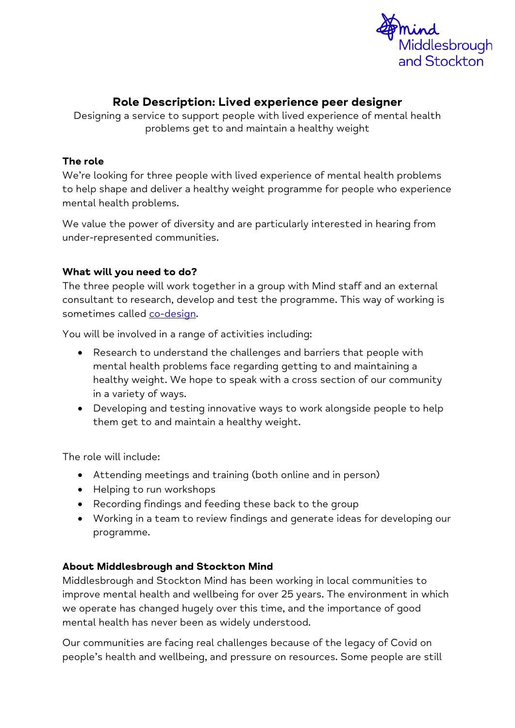

# Role Description: Lived experience peer designer

Designing a service to support people with lived experience of mental health problems get to and maintain a healthy weight

#### **The role**

We're looking for three people with lived experience of mental health problems to help shape and deliver a healthy weight programme for people who experience mental health problems.

We value the power of diversity and are particularly interested in hearing from under-represented communities.

### **What will you need to do?**

The three people will work together in a group with Mind staff and an external consultant to research, develop and test the programme. This way of working is sometimes called [co-design.](https://www.mind.org.uk/workplace/influence-and-participation-toolkit/how/methods/co-design/)

You will be involved in a range of activities including:

- Research to understand the challenges and barriers that people with mental health problems face regarding getting to and maintaining a healthy weight. We hope to speak with a cross section of our community in a variety of ways.
- Developing and testing innovative ways to work alongside people to help them get to and maintain a healthy weight.

The role will include:

- Attending meetings and training (both online and in person)
- Helping to run workshops
- Recording findings and feeding these back to the group
- Working in a team to review findings and generate ideas for developing our programme.

### **About Middlesbrough and Stockton Mind**

Middlesbrough and Stockton Mind has been working in local communities to improve mental health and wellbeing for over 25 years. The environment in which we operate has changed hugely over this time, and the importance of good mental health has never been as widely understood.

Our communities are facing real challenges because of the legacy of Covid on people's health and wellbeing, and pressure on resources. Some people are still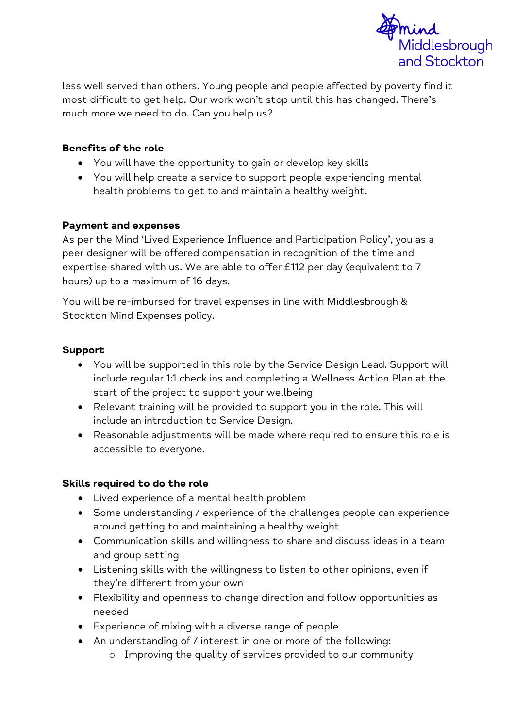

less well served than others. Young people and people affected by poverty find it most difficult to get help. Our work won't stop until this has changed. There's much more we need to do. Can you help us?

### **Benefits of the role**

- You will have the opportunity to gain or develop key skills
- You will help create a service to support people experiencing mental health problems to get to and maintain a healthy weight.

### **Payment and expenses**

As per the Mind 'Lived Experience Influence and Participation Policy', you as a peer designer will be offered compensation in recognition of the time and expertise shared with us. We are able to offer £112 per day (equivalent to 7 hours) up to a maximum of 16 days.

You will be re-imbursed for travel expenses in line with Middlesbrough & Stockton Mind Expenses policy.

## **Support**

- You will be supported in this role by the Service Design Lead. Support will include regular 1:1 check ins and completing a Wellness Action Plan at the start of the project to support your wellbeing
- Relevant training will be provided to support you in the role. This will include an introduction to Service Design.
- Reasonable adjustments will be made where required to ensure this role is accessible to everyone.

### **Skills required to do the role**

- Lived experience of a mental health problem
- Some understanding / experience of the challenges people can experience around getting to and maintaining a healthy weight
- Communication skills and willingness to share and discuss ideas in a team and group setting
- Listening skills with the willingness to listen to other opinions, even if they're different from your own
- Flexibility and openness to change direction and follow opportunities as needed
- Experience of mixing with a diverse range of people
- An understanding of / interest in one or more of the following:
	- o Improving the quality of services provided to our community